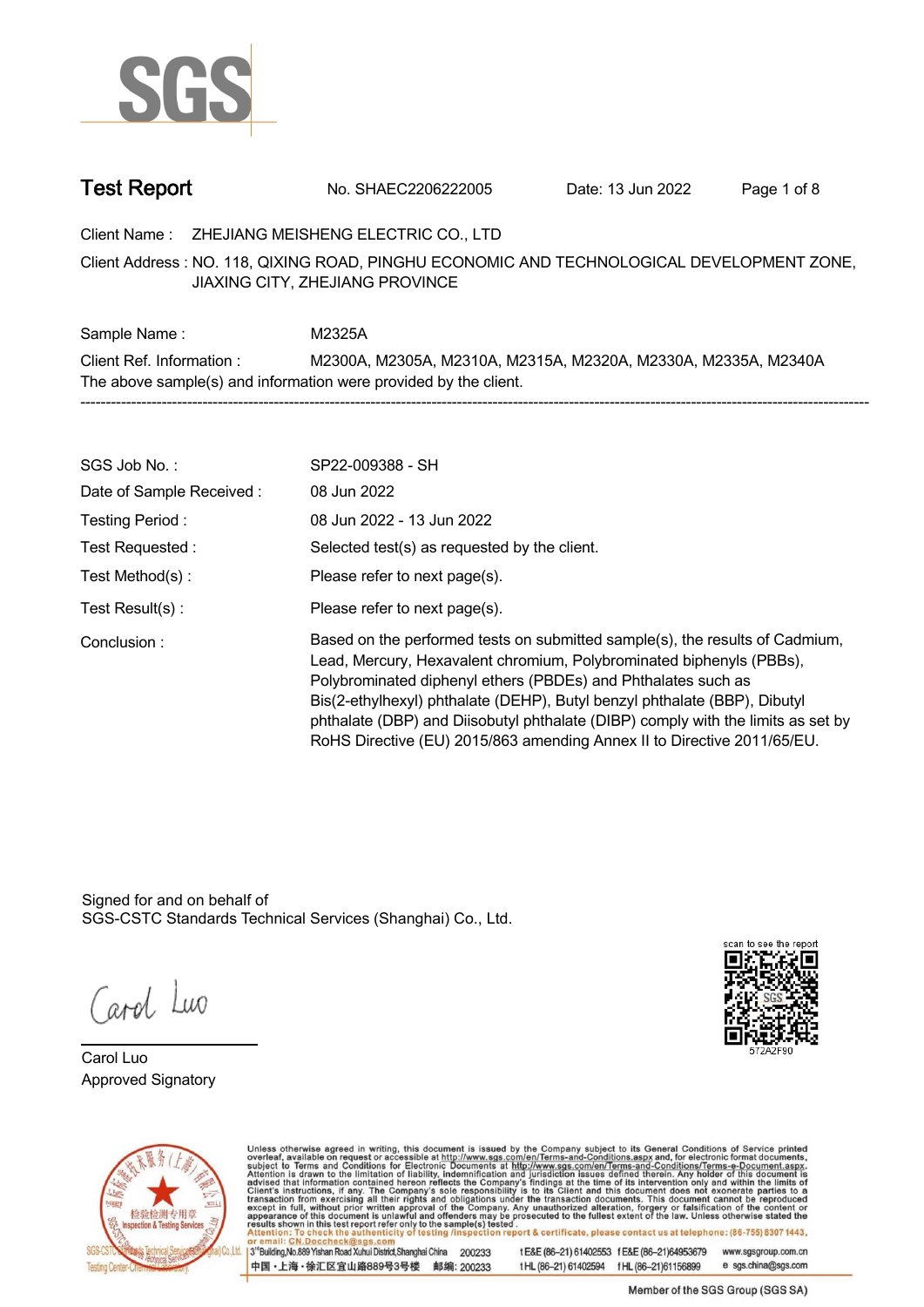

**Test Report. No. SHAEC2206222005 . Date: 13 Jun 2022. Page 1 of 8.**

**Client Name : ZHEJIANG MEISHENG ELECTRIC CO., LTD .**

**NO. 118, QIXING ROAD, PINGHU ECONOMIC AND TECHNOLOGICAL DEVELOPMENT ZONE, . Client Address : JIAXING CITY, ZHEJIANG PROVINCE**

**Sample Name : M2325A. Client Ref. Information : . M2300A, M2305A, M2310A, M2315A, M2320A, M2330A, M2335A, M2340A . The above sample(s) and information were provided by the client. -----------------------------------------------------------------------------------------------------------------------------------------------------------**

| SGS Job No.:             | SP22-009388 - SH                                                                                                                                                                                                                                                                                                                                                                                                                                                  |
|--------------------------|-------------------------------------------------------------------------------------------------------------------------------------------------------------------------------------------------------------------------------------------------------------------------------------------------------------------------------------------------------------------------------------------------------------------------------------------------------------------|
| Date of Sample Received: | 08 Jun 2022                                                                                                                                                                                                                                                                                                                                                                                                                                                       |
| Testing Period:          | 08 Jun 2022 - 13 Jun 2022                                                                                                                                                                                                                                                                                                                                                                                                                                         |
| Test Requested :         | Selected test(s) as requested by the client.                                                                                                                                                                                                                                                                                                                                                                                                                      |
| Test Method(s):          | Please refer to next page(s).                                                                                                                                                                                                                                                                                                                                                                                                                                     |
| Test $Result(s)$ :       | Please refer to next page(s).                                                                                                                                                                                                                                                                                                                                                                                                                                     |
| Conclusion:              | Based on the performed tests on submitted sample(s), the results of Cadmium,<br>Lead, Mercury, Hexavalent chromium, Polybrominated biphenyls (PBBs),<br>Polybrominated diphenyl ethers (PBDEs) and Phthalates such as<br>Bis(2-ethylhexyl) phthalate (DEHP), Butyl benzyl phthalate (BBP), Dibutyl<br>phthalate (DBP) and Diisobutyl phthalate (DIBP) comply with the limits as set by<br>RoHS Directive (EU) 2015/863 amending Annex II to Directive 2011/65/EU. |

Signed for and on behalf of SGS-CSTC Standards Technical Services (Shanghai) Co., Ltd..

Carol Luo

**Carol Luo. Approved Signatory .**





Unless otherwise agreed in writing, this document is issued by the Company subject to its General Conditions of Service printed overleaf, available on request or accessible at http://www.sgs.com/en/Terms-and-Conditions.asp

13<sup>rd</sup> Building No.889 Yishan Road Xuhui District Shanghai China 200233 中国·上海·徐汇区宜山路889号3号楼 邮编: 200233 tE&E (86-21) 61402553 fE&E (86-21)64953679 www.sgsgroup.com.cn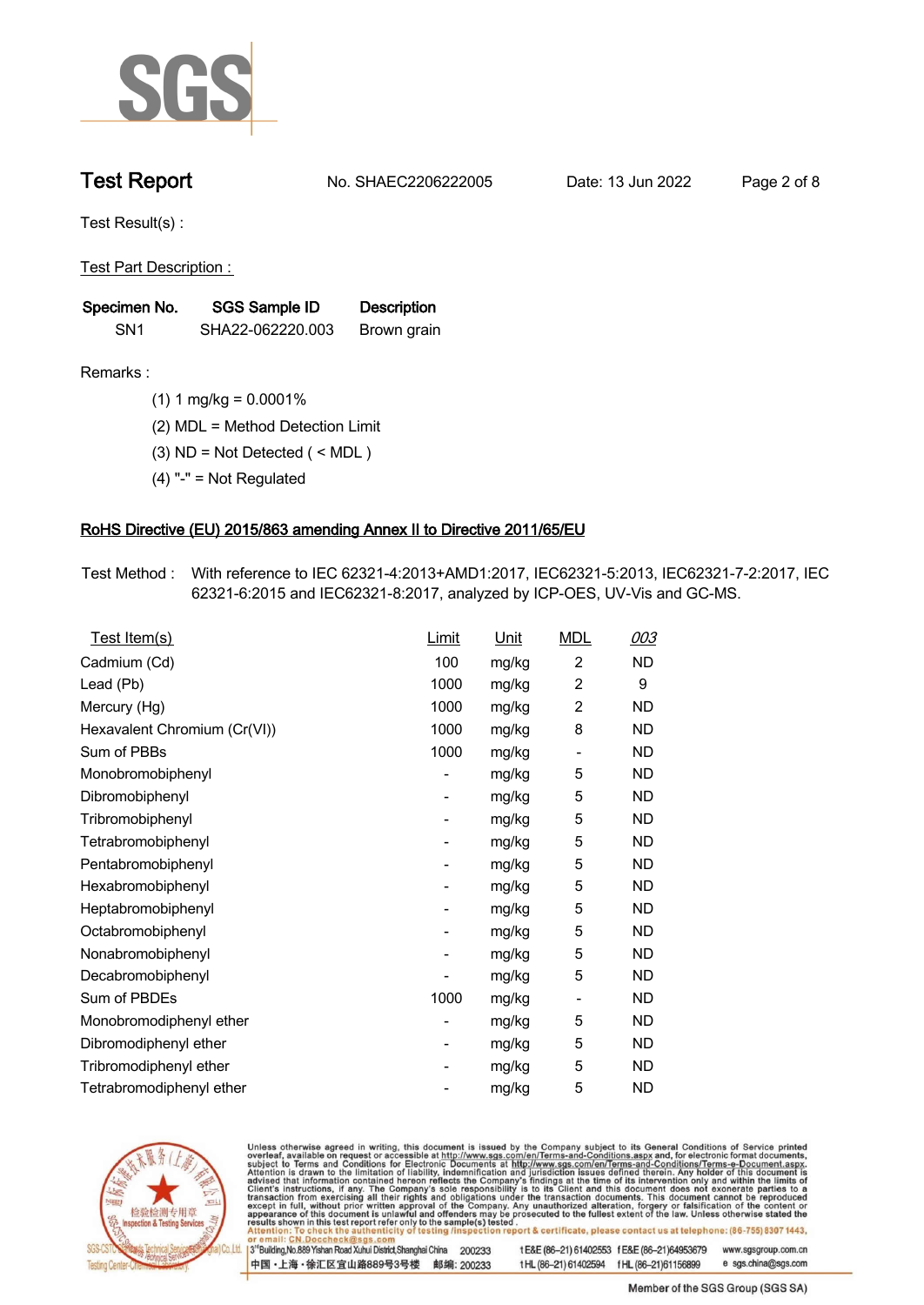

**Test Report. No. SHAEC2206222005 . Date: 13 Jun 2022. Page 2 of 8.**

**Test Result(s) :.**

**Test Part Description : .**

| Specimen No.    | SGS Sample ID    | <b>Description</b> |  |
|-----------------|------------------|--------------------|--|
| SN <sub>1</sub> | SHA22-062220.003 | Brown grain        |  |

- **Remarks :.(1) 1 mg/kg = 0.0001% .**
	- **(2) MDL = Method Detection Limit .**
	- **(3) ND = Not Detected ( < MDL ) .**
	- **(4) "-" = Not Regulated .**

### **RoHS Directive (EU) 2015/863 amending Annex II to Directive 2011/65/EU.**

**Test Method :. With reference to IEC 62321-4:2013+AMD1:2017, IEC62321-5:2013, IEC62321-7-2:2017, IEC 62321-6:2015 and IEC62321-8:2017, analyzed by ICP-OES, UV-Vis and GC-MS. .**

| Test Item(s)                 | Limit | <u>Unit</u> | <b>MDL</b>               | 003       |
|------------------------------|-------|-------------|--------------------------|-----------|
| Cadmium (Cd)                 | 100   | mg/kg       | $\overline{2}$           | ND        |
| Lead (Pb)                    | 1000  | mg/kg       | $\overline{2}$           | 9         |
| Mercury (Hg)                 | 1000  | mg/kg       | $\overline{2}$           | <b>ND</b> |
| Hexavalent Chromium (Cr(VI)) | 1000  | mg/kg       | 8                        | <b>ND</b> |
| Sum of PBBs                  | 1000  | mg/kg       | $\overline{a}$           | ND        |
| Monobromobiphenyl            |       | mg/kg       | 5                        | ND.       |
| Dibromobiphenyl              | -     | mg/kg       | 5                        | ND.       |
| Tribromobiphenyl             |       | mg/kg       | 5                        | ND.       |
| Tetrabromobiphenyl           | -     | mg/kg       | 5                        | ND        |
| Pentabromobiphenyl           |       | mg/kg       | 5                        | <b>ND</b> |
| Hexabromobiphenyl            | -     | mg/kg       | 5                        | ND.       |
| Heptabromobiphenyl           |       | mg/kg       | 5                        | <b>ND</b> |
| Octabromobiphenyl            |       | mg/kg       | 5                        | ND        |
| Nonabromobiphenyl            |       | mg/kg       | 5                        | ND.       |
| Decabromobiphenyl            |       | mg/kg       | 5                        | ND        |
| Sum of PBDEs                 | 1000  | mg/kg       | $\overline{\phantom{a}}$ | ND.       |
| Monobromodiphenyl ether      |       | mg/kg       | 5                        | ND        |
| Dibromodiphenyl ether        | -     | mg/kg       | 5                        | ND.       |
| Tribromodiphenyl ether       | -     | mg/kg       | 5                        | <b>ND</b> |
| Tetrabromodiphenyl ether     |       | mg/kg       | 5                        | <b>ND</b> |



Unless otherwise agreed in writing, this document is issued by the Company subject to its General Conditions of Service printed overleaf, available on request or accessible at http://www.sgs.com/en/Terms-and-Conditions.asp

3<sup>rd</sup> Building, No.889 Yishan Road Xuhui District, Shanghai China 200233 中国·上海·徐汇区宜山路889号3号楼 邮编: 200233 tE&E (86-21) 61402553 fE&E (86-21)64953679 www.sgsgroup.com.cn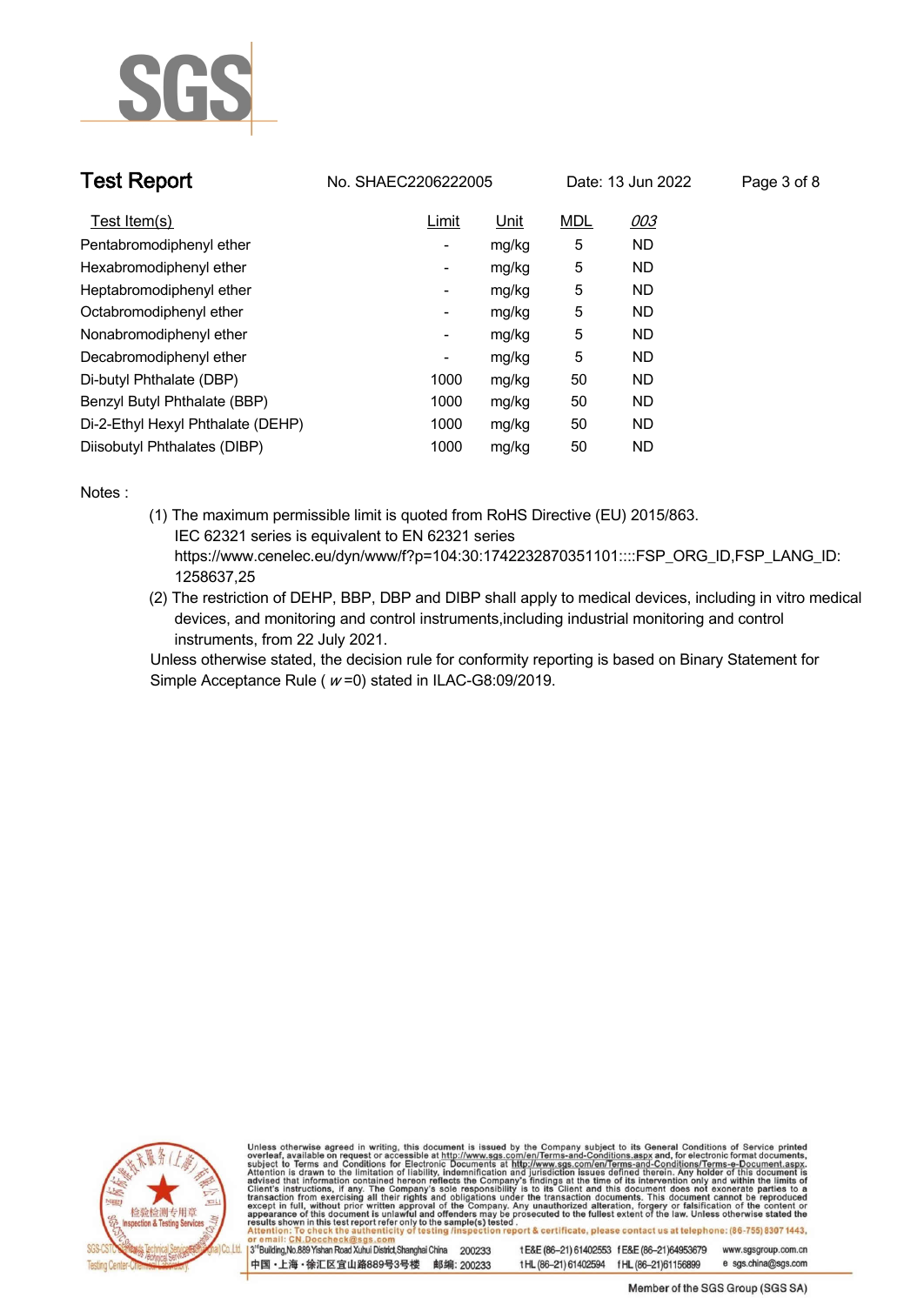

| <b>Test Report</b>                | No. SHAEC2206222005      |       | Date: 13 Jun 2022 |           | Page 3 of 8 |
|-----------------------------------|--------------------------|-------|-------------------|-----------|-------------|
| Test Item(s)                      | Limit                    | Unit  | <b>MDL</b>        | 003       |             |
| Pentabromodiphenyl ether          | -                        | mg/kg | 5                 | <b>ND</b> |             |
| Hexabromodiphenyl ether           | -                        | mg/kg | 5                 | ND.       |             |
| Heptabromodiphenyl ether          | $\overline{\phantom{a}}$ | mg/kg | 5                 | ND.       |             |
| Octabromodiphenyl ether           | $\overline{\phantom{a}}$ | mg/kg | 5                 | <b>ND</b> |             |
| Nonabromodiphenyl ether           | ۰                        | mg/kg | 5                 | ND.       |             |
| Decabromodiphenyl ether           | $\overline{\phantom{a}}$ | mg/kg | 5                 | <b>ND</b> |             |
| Di-butyl Phthalate (DBP)          | 1000                     | mg/kg | 50                | <b>ND</b> |             |
| Benzyl Butyl Phthalate (BBP)      | 1000                     | mg/kg | 50                | <b>ND</b> |             |
| Di-2-Ethyl Hexyl Phthalate (DEHP) | 1000                     | mg/kg | 50                | <b>ND</b> |             |
| Diisobutyl Phthalates (DIBP)      | 1000                     | mg/kg | 50                | <b>ND</b> |             |

**Notes :.**

- **(1) The maximum permissible limit is quoted from RoHS Directive (EU) 2015/863. IEC 62321 series is equivalent to EN 62321 series https://www.cenelec.eu/dyn/www/f?p=104:30:1742232870351101::::FSP\_ORG\_ID,FSP\_LANG\_ID: 1258637,25**
- **(2) The restriction of DEHP, BBP, DBP and DIBP shall apply to medical devices, including in vitro medical devices, and monitoring and control instruments,including industrial monitoring and control instruments, from 22 July 2021. .**

**Unless otherwise stated, the decision rule for conformity reporting is based on Binary Statement for Simple Acceptance Rule ( <sup>w</sup> =0) stated in ILAC-G8:09/2019. .**



Unless otherwise agreed in writing, this document is issued by the Company subject to its General Conditions of Service printed overleaf, available on request or accessible at http://www.sgs.com/en/Terms-and-Conditions.asp

3<sup>14</sup> Building, No.889 Yishan Road Xuhui District, Shanghai China 200233 中国·上海·徐汇区宜山路889号3号楼 邮编: 200233 t E&E (86-21) 61402553 f E&E (86-21)64953679 www.sgsgroup.com.cn

e sgs.china@sgs.com t HL (86-21) 61402594 f HL (86-21) 61156899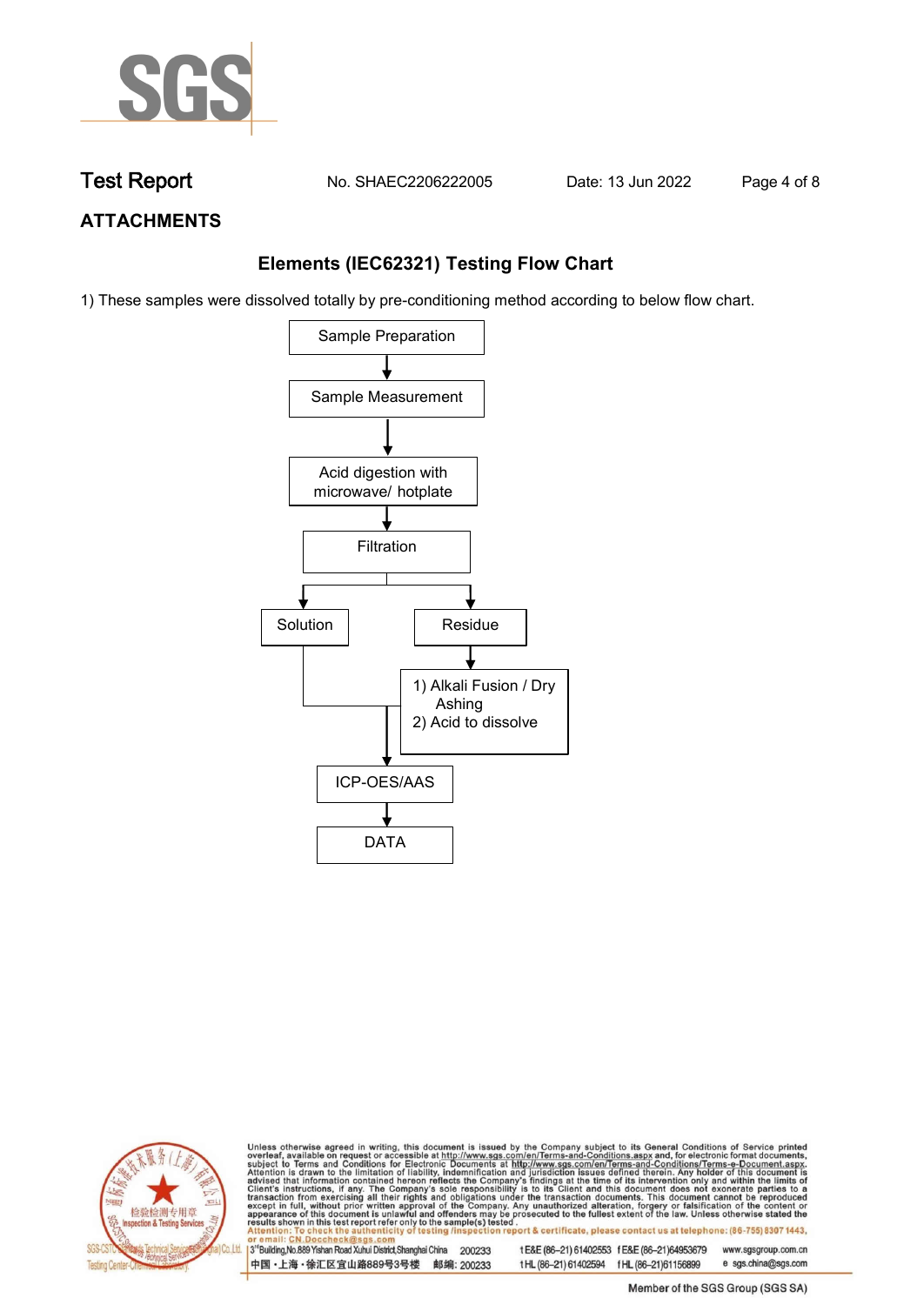

**Test Report. No. SHAEC2206222005 . Date: 13 Jun 2022. Page 4 of 8.**

## **ATTACHMENTS**

## **Elements (IEC62321) Testing Flow Chart**

1) These samples were dissolved totally by pre-conditioning method according to below flow chart.





Unless otherwise agreed in writing, this document is issued by the Company subject to its General Conditions of Service printed overleaf, available on request or accessible at http://www.sgs.com/en/Terms-and-Conditions.asp

3<sup>rd</sup> Building, No.889 Yishan Road Xuhui District, Shanghai China 200233 中国·上海·徐汇区宜山路889号3号楼 邮编: 200233 tE&E (86-21) 61402553 fE&E (86-21)64953679 www.sgsgroup.com.cn e sgs.china@sgs.com t HL (86-21) 61402594 f HL (86-21) 61156899

Member of the SGS Group (SGS SA)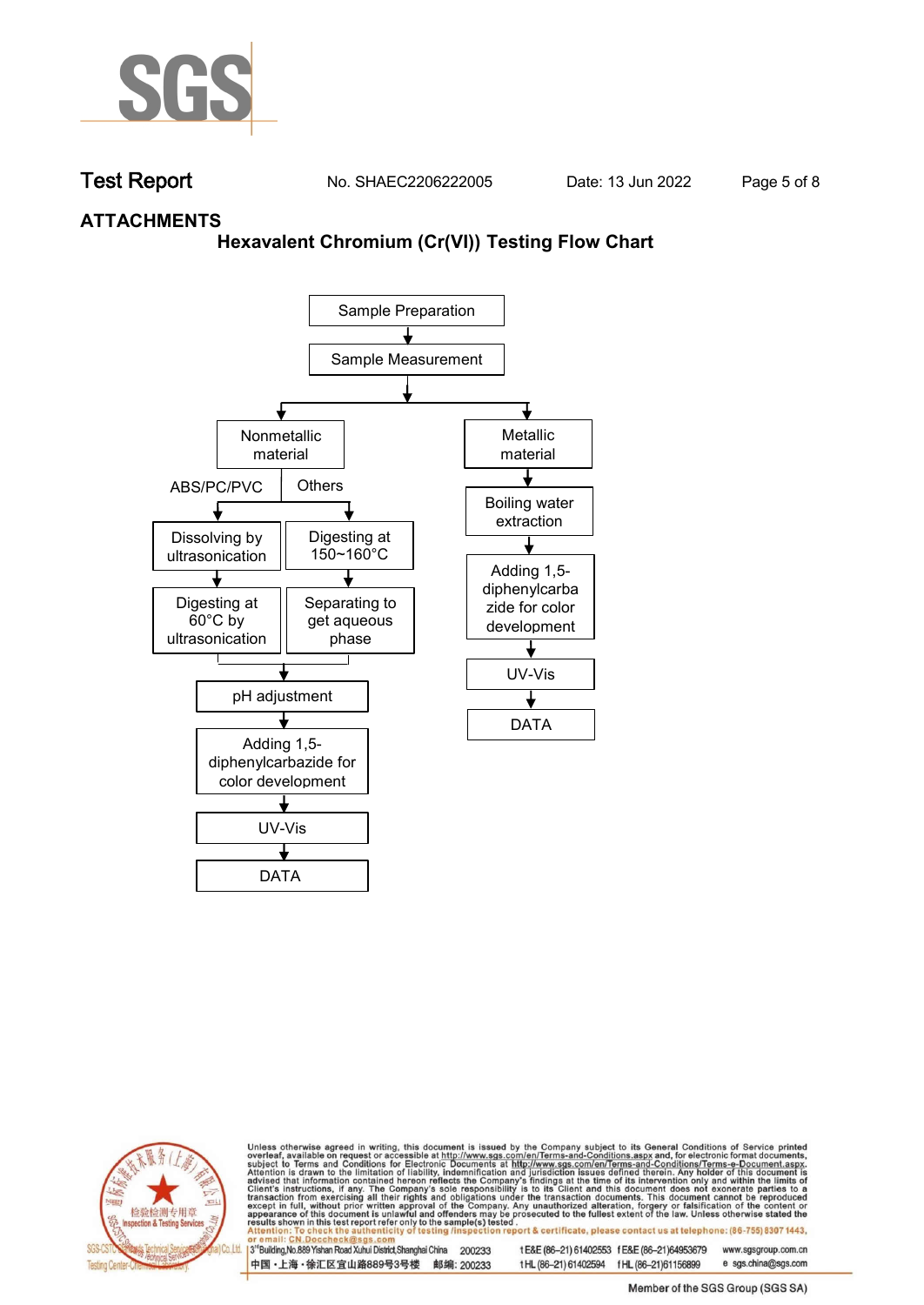

**Test Report. No. SHAEC2206222005 . Date: 13 Jun 2022. Page 5 of 8.**

## **ATTACHMENTS**

## **Hexavalent Chromium (Cr(VI)) Testing Flow Chart**





Unless otherwise agreed in writing, this document is issued by the Company subject to its General Conditions of Service printed overleaf, available on request or accessible at http://www.sgs.com/en/Terms-and-Conditions.asp

3<sup>rd</sup> Building, No.889 Yishan Road Xuhui District, Shanghai China 200233 中国·上海·徐汇区宜山路889号3号楼 邮编: 200233 tE&E (86-21) 61402553 fE&E (86-21)64953679 www.sgsgroup.com.cn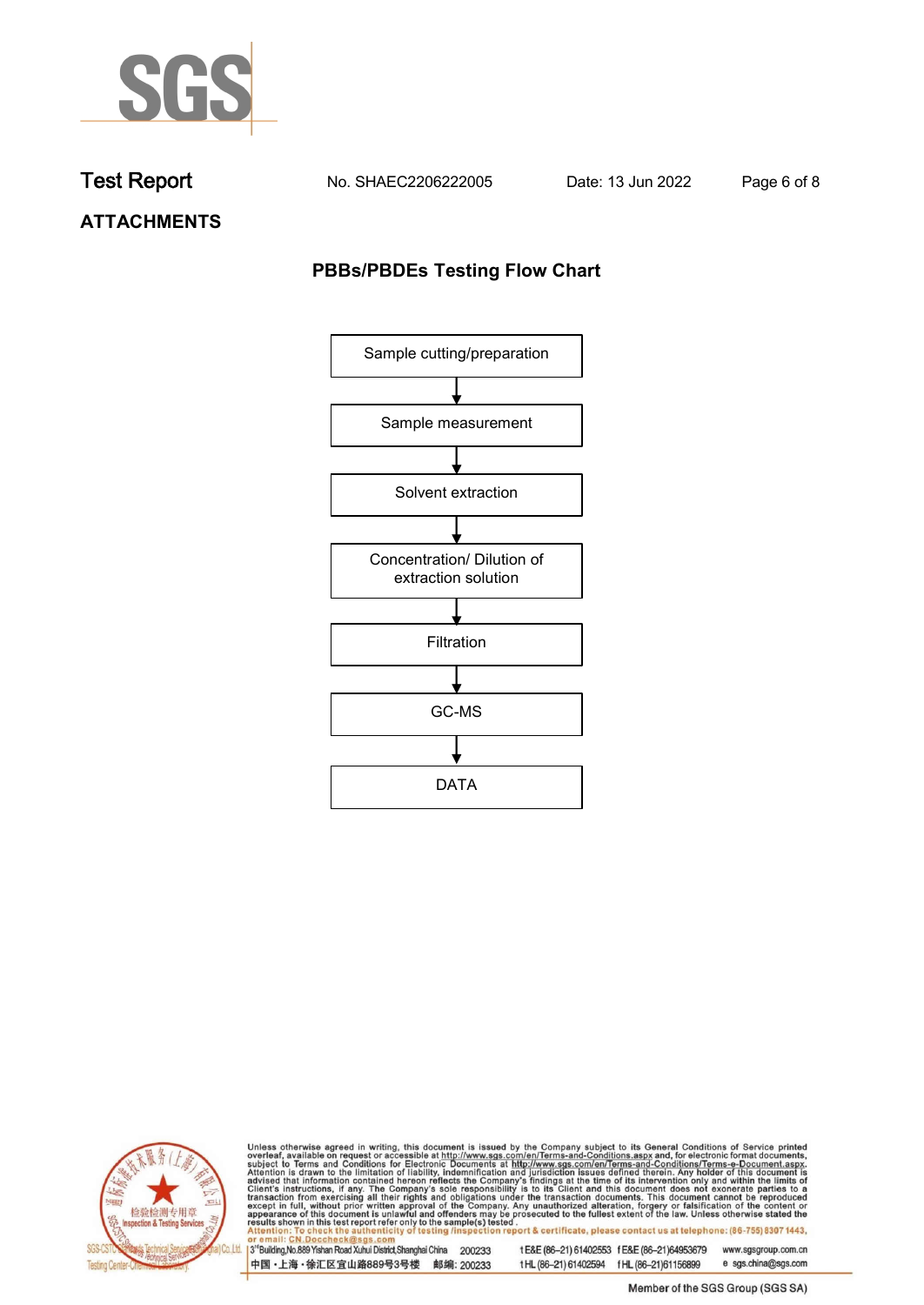

**Test Report. No. SHAEC2206222005 . Date: 13 Jun 2022. Page 6 of 8.**

**ATTACHMENTS**

## **PBBs/PBDEs Testing Flow Chart**





Unless otherwise agreed in writing, this document is issued by the Company subject to its General Conditions of Service printed overleaf, available on request or accessible at http://www.sgs.com/en/Terms-and-Conditions.asp

3<sup>'</sup>Building, No.889 Yishan Road Xuhui District, Shanghai China 200233 中国·上海·徐汇区宜山路889号3号楼 邮编: 200233

tE&E (86-21) 61402553 fE&E (86-21)64953679 www.sgsgroup.com.cn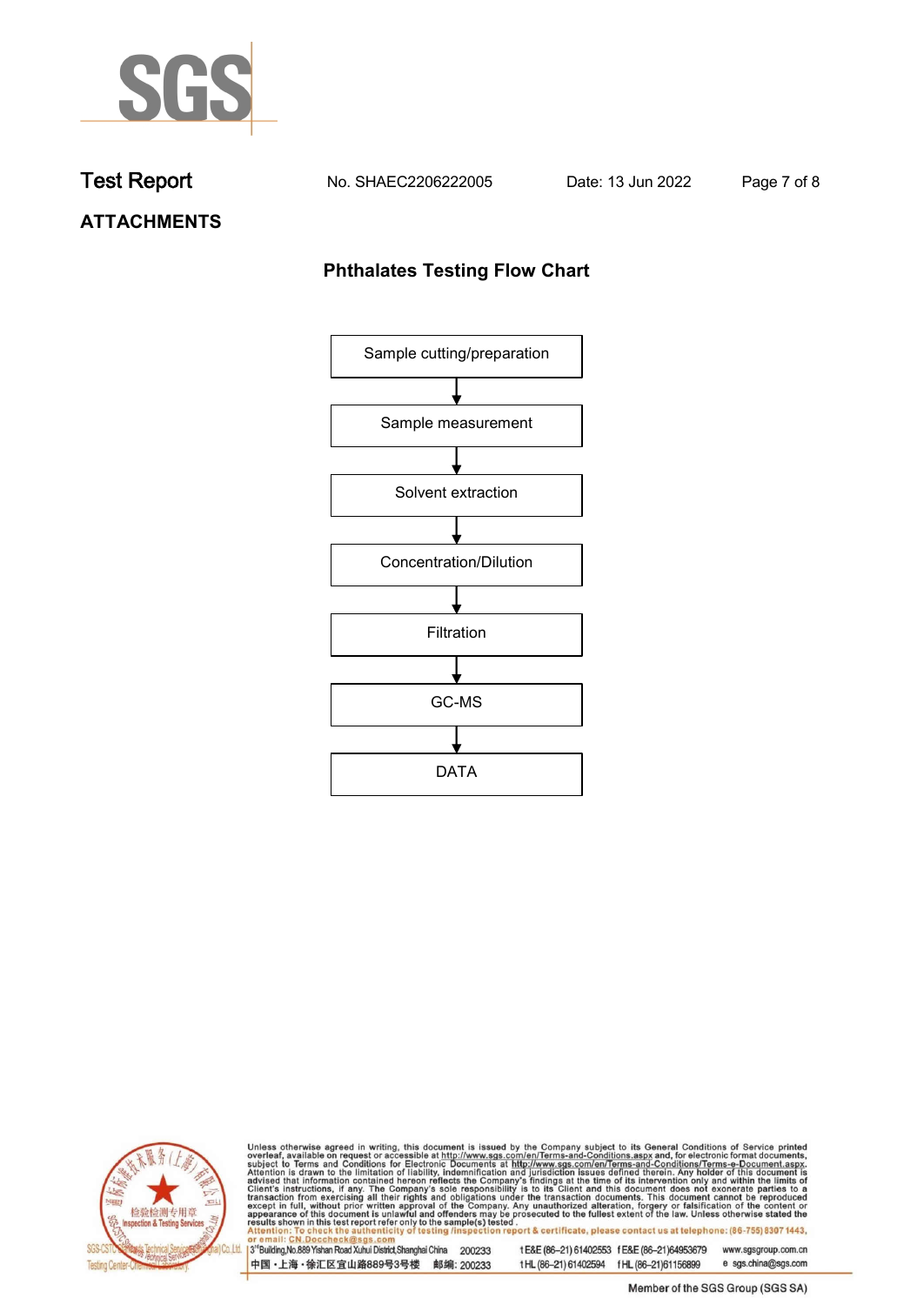

**Test Report. No. SHAEC2206222005 . Date: 13 Jun 2022. Page 7 of 8.**

# **ATTACHMENTS**

## **Phthalates Testing Flow Chart**





Unless otherwise agreed in writing, this document is issued by the Company subject to its General Conditions of Service printed overleaf, available on request or accessible at http://www.sgs.com/en/Terms-and-Conditions.asp

3<sup>'</sup>Building, No.889 Yishan Road Xuhui District, Shanghai China 200233 中国·上海·徐汇区宜山路889号3号楼 邮编: 200233

tE&E (86-21) 61402553 fE&E (86-21)64953679 www.sgsgroup.com.cn

e sgs.china@sgs.com t HL (86-21) 61402594 f HL (86-21) 61156899 Member of the SGS Group (SGS SA)